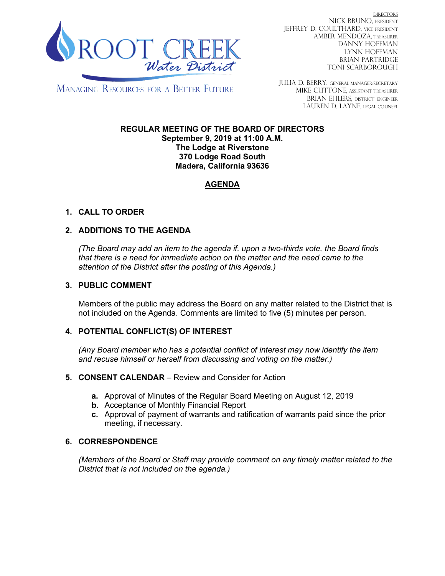

DIRECTORS NICK BRUNO, PRESIDENT JEFFREY D. COULTHARD, Vice President AMBER MENDOZA, TREASURER DANNY HOFFMAN LYNN HOFFMAN BRIAN PARTRIDGE TONI SCARBOROUGH

**MANAGING RESOURCES FOR A BETTER FUTURE** 

JULIA D. BERRY, GENERAL MANAGER/secretary MIKE CUTTONE, Assistant treasurer BRIAN EHLERS, DISTRICT ENGINEER LAUREN D. LAYNE, LEGAL COUNSEL

#### **REGULAR MEETING OF THE BOARD OF DIRECTORS September 9, 2019 at 11:00 A.M. The Lodge at Riverstone 370 Lodge Road South Madera, California 93636**

# **AGENDA**

# **1. CALL TO ORDER**

# **2. ADDITIONS TO THE AGENDA**

*(The Board may add an item to the agenda if, upon a two-thirds vote, the Board finds that there is a need for immediate action on the matter and the need came to the attention of the District after the posting of this Agenda.)*

### **3. PUBLIC COMMENT**

Members of the public may address the Board on any matter related to the District that is not included on the Agenda. Comments are limited to five (5) minutes per person.

# **4. POTENTIAL CONFLICT(S) OF INTEREST**

*(Any Board member who has a potential conflict of interest may now identify the item and recuse himself or herself from discussing and voting on the matter.)*

#### **5. CONSENT CALENDAR** – Review and Consider for Action

- **a.** Approval of Minutes of the Regular Board Meeting on August 12, 2019
- **b.** Acceptance of Monthly Financial Report
- **c.** Approval of payment of warrants and ratification of warrants paid since the prior meeting, if necessary.

# **6. CORRESPONDENCE**

*(Members of the Board or Staff may provide comment on any timely matter related to the District that is not included on the agenda.)*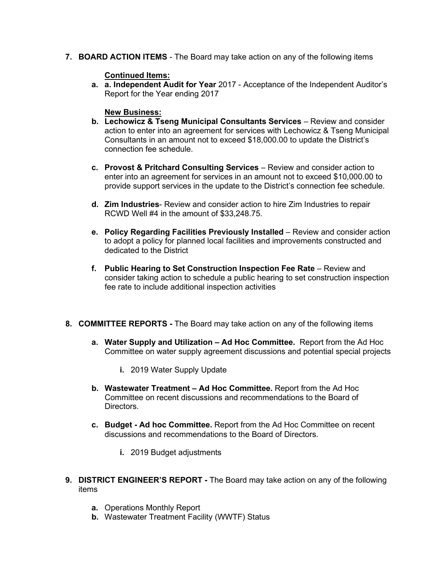**7. BOARD ACTION ITEMS** - The Board may take action on any of the following items

### **Continued Items:**

**a. a. Independent Audit for Year** 2017 - Acceptance of the Independent Auditor's Report for the Year ending 2017

#### **New Business:**

- **b. Lechowicz & Tseng Municipal Consultants Services** Review and consider action to enter into an agreement for services with Lechowicz & Tseng Municipal Consultants in an amount not to exceed \$18,000.00 to update the District's connection fee schedule.
- **c. Provost & Pritchard Consulting Services** Review and consider action to enter into an agreement for services in an amount not to exceed \$10,000.00 to provide support services in the update to the District's connection fee schedule.
- **d. Zim Industries** Review and consider action to hire Zim Industries to repair RCWD Well #4 in the amount of \$33,248.75.
- **e. Policy Regarding Facilities Previously Installed** Review and consider action to adopt a policy for planned local facilities and improvements constructed and dedicated to the District
- **f. Public Hearing to Set Construction Inspection Fee Rate** Review and consider taking action to schedule a public hearing to set construction inspection fee rate to include additional inspection activities
- **8. COMMITTEE REPORTS -** The Board may take action on any of the following items
	- **a. Water Supply and Utilization – Ad Hoc Committee.** Report from the Ad Hoc Committee on water supply agreement discussions and potential special projects
		- **i.** 2019 Water Supply Update
	- **b. Wastewater Treatment – Ad Hoc Committee.** Report from the Ad Hoc Committee on recent discussions and recommendations to the Board of **Directors**
	- **c. Budget - Ad hoc Committee.** Report from the Ad Hoc Committee on recent discussions and recommendations to the Board of Directors.
		- **i.** 2019 Budget adjustments
- **9. DISTRICT ENGINEER'S REPORT -** The Board may take action on any of the following items
	- **a.** Operations Monthly Report
	- **b.** Wastewater Treatment Facility (WWTF) Status